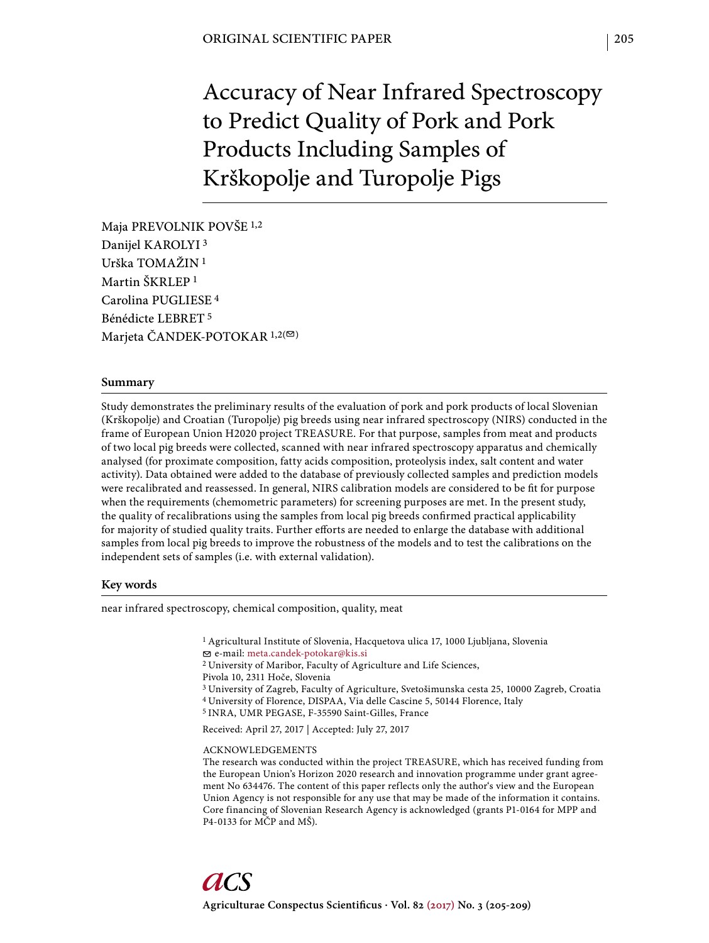Accuracy of Near Infrared Spectroscopy to Predict Quality of Pork and Pork Products Including Samples of Krškopolje and Turopolje Pigs

Maja PREVOLNIK POVŠE 1,2 Danijel KAROLYI 3 Urška TOMAŽIN 1 Martin ŠKRLEP 1 Carolina PUGLIESE 4 Bénédicte LEBRET 5 Marjeta ČANDEK-POTOKAR  $1,2(\infty)$ 

#### **Summary**

Study demonstrates the preliminary results of the evaluation of pork and pork products of local Slovenian (Krškopolje) and Croatian (Turopolje) pig breeds using near infrared spectroscopy (NIRS) conducted in the frame of European Union H2020 project TREASURE. For that purpose, samples from meat and products of two local pig breeds were collected, scanned with near infrared spectroscopy apparatus and chemically analysed (for proximate composition, fatty acids composition, proteolysis index, salt content and water activity). Data obtained were added to the database of previously collected samples and prediction models were recalibrated and reassessed. In general, NIRS calibration models are considered to be fit for purpose when the requirements (chemometric parameters) for screening purposes are met. In the present study, the quality of recalibrations using the samples from local pig breeds confirmed practical applicability for majority of studied quality traits. Further efforts are needed to enlarge the database with additional samples from local pig breeds to improve the robustness of the models and to test the calibrations on the independent sets of samples (i.e. with external validation).

# **Key words**

near infrared spectroscopy, chemical composition, quality, meat

<sup>1</sup> Agricultural Institute of Slovenia, Hacquetova ulica 17, 1000 Ljubljana, Slovenia

e-mail: meta.candek-potokar@kis.si

2 University of Maribor, Faculty of Agriculture and Life Sciences,

- Pivola 10, 2311 Hoče, Slovenia
- 3 University of Zagreb, Faculty of Agriculture, Svetošimunska cesta 25, 10000 Zagreb, Croatia
- 4 University of Florence, DISPAA, Via delle Cascine 5, 50144 Florence, Italy
- 5 INRA, UMR PEGASE, F-35590 Saint-Gilles, France

Received: April 27, 2017 | Accepted: July 27, 2017

#### ACKNOWLEDGEMENTS

The research was conducted within the project TREASURE, which has received funding from the European Union's Horizon 2020 research and innovation programme under grant agreement No 634476. The content of this paper reflects only the author's view and the European Union Agency is not responsible for any use that may be made of the information it contains. Core financing of Slovenian Research Agency is acknowledged (grants P1-0164 for MPP and P4-0133 for MČP and MŠ).

205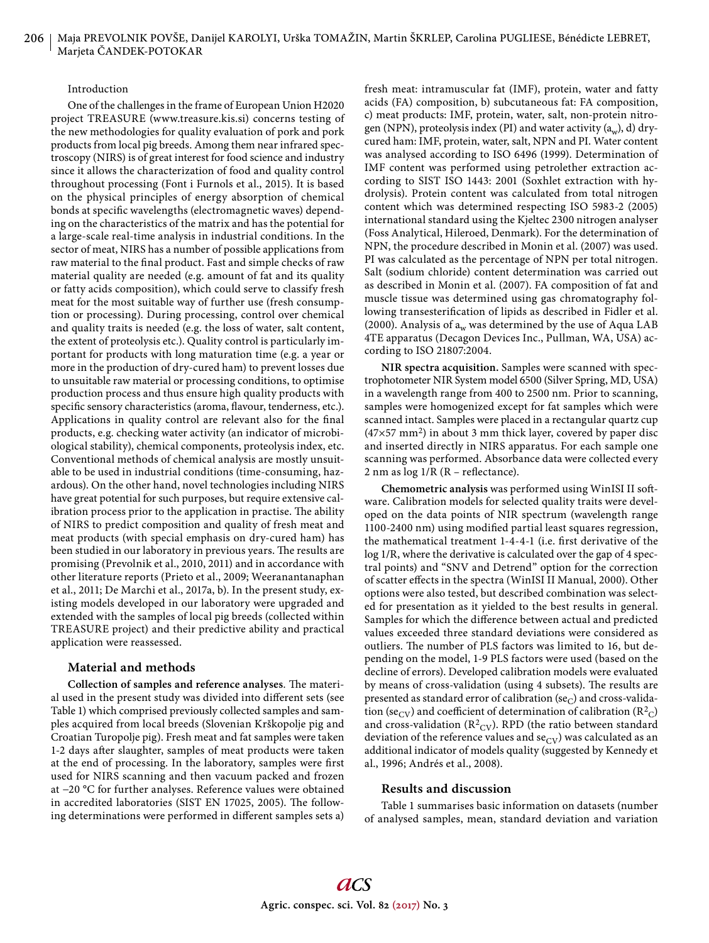#### Introduction

One of the challenges in the frame of European Union H2020 project TREASURE (www.treasure.kis.si) concerns testing of the new methodologies for quality evaluation of pork and pork products from local pig breeds. Among them near infrared spectroscopy (NIRS) is of great interest for food science and industry since it allows the characterization of food and quality control throughout processing (Font i Furnols et al., 2015). It is based on the physical principles of energy absorption of chemical bonds at specific wavelengths (electromagnetic waves) depending on the characteristics of the matrix and has the potential for a large-scale real-time analysis in industrial conditions. In the sector of meat, NIRS has a number of possible applications from raw material to the final product. Fast and simple checks of raw material quality are needed (e.g. amount of fat and its quality or fatty acids composition), which could serve to classify fresh meat for the most suitable way of further use (fresh consumption or processing). During processing, control over chemical and quality traits is needed (e.g. the loss of water, salt content, the extent of proteolysis etc.). Quality control is particularly important for products with long maturation time (e.g. a year or more in the production of dry-cured ham) to prevent losses due to unsuitable raw material or processing conditions, to optimise production process and thus ensure high quality products with specific sensory characteristics (aroma, flavour, tenderness, etc.). Applications in quality control are relevant also for the final products, e.g. checking water activity (an indicator of microbiological stability), chemical components, proteolysis index, etc. Conventional methods of chemical analysis are mostly unsuitable to be used in industrial conditions (time-consuming, hazardous). On the other hand, novel technologies including NIRS have great potential for such purposes, but require extensive calibration process prior to the application in practise. The ability of NIRS to predict composition and quality of fresh meat and meat products (with special emphasis on dry-cured ham) has been studied in our laboratory in previous years. The results are promising (Prevolnik et al., 2010, 2011) and in accordance with other literature reports (Prieto et al., 2009; Weeranantanaphan et al., 2011; De Marchi et al., 2017a, b). In the present study, existing models developed in our laboratory were upgraded and extended with the samples of local pig breeds (collected within TREASURE project) and their predictive ability and practical application were reassessed.

## **Material and methods**

**Collection of samples and reference analyses. The materi**al used in the present study was divided into different sets (see Table 1) which comprised previously collected samples and samples acquired from local breeds (Slovenian Krškopolje pig and Croatian Turopolje pig). Fresh meat and fat samples were taken 1-2 days after slaughter, samples of meat products were taken at the end of processing. In the laboratory, samples were first used for NIRS scanning and then vacuum packed and frozen at −20 °C for further analyses. Reference values were obtained in accredited laboratories (SIST EN 17025, 2005). The following determinations were performed in different samples sets a) fresh meat: intramuscular fat (IMF), protein, water and fatty acids (FA) composition, b) subcutaneous fat: FA composition, c) meat products: IMF, protein, water, salt, non-protein nitrogen (NPN), proteolysis index (PI) and water activity  $(a_w)$ , d) drycured ham: IMF, protein, water, salt, NPN and PI. Water content was analysed according to ISO 6496 (1999). Determination of IMF content was performed using petrolether extraction according to SIST ISO 1443: 2001 (Soxhlet extraction with hydrolysis). Protein content was calculated from total nitrogen content which was determined respecting ISO 5983-2 (2005) international standard using the Kjeltec 2300 nitrogen analyser (Foss Analytical, Hileroed, Denmark). For the determination of NPN, the procedure described in Monin et al. (2007) was used. PI was calculated as the percentage of NPN per total nitrogen. Salt (sodium chloride) content determination was carried out as described in Monin et al. (2007). FA composition of fat and muscle tissue was determined using gas chromatography following transesterification of lipids as described in Fidler et al. (2000). Analysis of  $a_w$  was determined by the use of Aqua LAB 4TE apparatus (Decagon Devices Inc., Pullman, WA, USA) according to ISO 21807:2004.

**NIR spectra acquisition.** Samples were scanned with spectrophotometer NIR System model 6500 (Silver Spring, MD, USA) in a wavelength range from 400 to 2500 nm. Prior to scanning, samples were homogenized except for fat samples which were scanned intact. Samples were placed in a rectangular quartz cup  $(47\times57 \text{ mm}^2)$  in about 3 mm thick layer, covered by paper disc and inserted directly in NIRS apparatus. For each sample one scanning was performed. Absorbance data were collected every 2 nm as  $log 1/R$  (R – reflectance).

**Chemometric analysis** was performed using WinISI II soft ware. Calibration models for selected quality traits were developed on the data points of NIR spectrum (wavelength range 1100-2400 nm) using modified partial least squares regression, the mathematical treatment 1-4-4-1 (i.e. first derivative of the log 1/R, where the derivative is calculated over the gap of 4 spectral points) and "SNV and Detrend" option for the correction of scatter effects in the spectra (WinISI II Manual, 2000). Other options were also tested, but described combination was selected for presentation as it yielded to the best results in general. Samples for which the difference between actual and predicted values exceeded three standard deviations were considered as outliers. The number of PLS factors was limited to 16, but depending on the model, 1-9 PLS factors were used (based on the decline of errors). Developed calibration models were evaluated by means of cross-validation (using 4 subsets). The results are presented as standard error of calibration (se<sub>C</sub>) and cross-validation (se<sub>CV</sub>) and coefficient of determination of calibration (R<sup>2</sup><sub>C</sub>) and cross-validation ( $R^2$ <sub>CV</sub>). RPD (the ratio between standard deviation of the reference values and  $se_{CV}$ ) was calculated as an additional indicator of models quality (suggested by Kennedy et al., 1996; Andrés et al., 2008).

## **Results and discussion**

Table 1 summarises basic information on datasets (number of analysed samples, mean, standard deviation and variation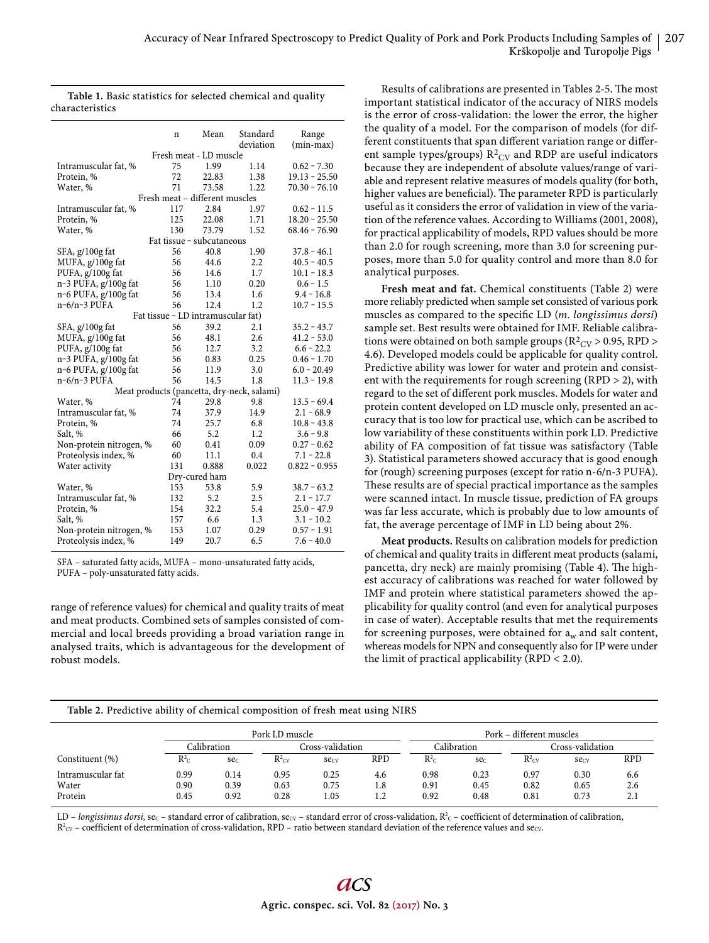|                         | n                      | Mean                               | Standard<br>deviation                      | Range<br>$(min-max)$ |  |  |  |  |
|-------------------------|------------------------|------------------------------------|--------------------------------------------|----------------------|--|--|--|--|
|                         | Fresh meat - LD muscle |                                    |                                            |                      |  |  |  |  |
| Intramuscular fat, %    | 75                     | 1.99                               | 1.14                                       | $0.62 - 7.30$        |  |  |  |  |
| Protein, %              | 72                     | 22.83                              | 1.38                                       | $19.13 - 25.50$      |  |  |  |  |
| Water, %                | 71                     | 73.58                              | 1.22                                       | $70.30 - 76.10$      |  |  |  |  |
|                         |                        | Fresh meat - different muscles     |                                            |                      |  |  |  |  |
| Intramuscular fat, %    | 117                    | 2.84                               | 1.97                                       | $0.62 - 11.5$        |  |  |  |  |
| Protein, %              | 125                    | 22.08                              | 1.71                                       | $18.20 - 25.50$      |  |  |  |  |
| Water, %                | 130                    | 73.79                              | 1.52                                       | $68.46 - 76.90$      |  |  |  |  |
|                         |                        | Fat tissue - subcutaneous          |                                            |                      |  |  |  |  |
| SFA, g/100g fat         | 56                     | 40.8                               | 1.90                                       | $37.8 - 46.1$        |  |  |  |  |
| MUFA, g/100g fat        | 56                     | 44.6                               | 2.2                                        | $40.5 - 40.5$        |  |  |  |  |
| PUFA, g/100g fat        | 56                     | 14.6                               | 1.7                                        | $10.1 - 18.3$        |  |  |  |  |
| n-3 PUFA, g/100g fat    | 56                     | 1.10                               | 0.20                                       | $0.6 - 1.5$          |  |  |  |  |
| n-6 PUFA, g/100g fat    | 56                     | 13.4                               | 1.6                                        | $9.4 - 16.8$         |  |  |  |  |
| $n-6/n-3$ PUFA          | 56                     | 12.4                               | 1.2                                        | $10.7 - 15.5$        |  |  |  |  |
|                         |                        | Fat tissue - LD intramuscular fat) |                                            |                      |  |  |  |  |
| SFA, g/100g fat         | 56                     | 39.2                               | 2.1                                        | $35.2 - 43.7$        |  |  |  |  |
| MUFA, g/100g fat        | 56                     | 48.1                               | 2.6                                        | $41.2 - 53.0$        |  |  |  |  |
| PUFA, g/100g fat        | 56                     | 12.7                               | 3.2                                        | $6.6 - 22.2$         |  |  |  |  |
| n-3 PUFA, g/100g fat    | 56                     | 0.83                               | 0.25                                       | $0.46 - 1.70$        |  |  |  |  |
| n-6 PUFA, g/100g fat    | 56                     | 11.9                               | 3.0                                        | $6.0 - 20.49$        |  |  |  |  |
| $n-6/n-3$ PUFA          | 56                     | 14.5                               | 1.8                                        | $11.3 - 19.8$        |  |  |  |  |
|                         |                        |                                    | Meat products (pancetta, dry-neck, salami) |                      |  |  |  |  |
| Water, %                | 74                     | 29.8                               | 9.8                                        | $13.5 - 69.4$        |  |  |  |  |
| Intramuscular fat, %    | 74                     | 37.9                               | 14.9                                       | $2.1 - 68.9$         |  |  |  |  |
| Protein, %              | 74                     | 25.7                               | 6.8                                        | $10.8 - 43.8$        |  |  |  |  |
| Salt, %                 | 66                     | 5.2                                | 1.2                                        | $3.6 - 9.8$          |  |  |  |  |
| Non-protein nitrogen, % | 60                     | 0.41                               | 0.09                                       | $0.27 - 0.62$        |  |  |  |  |
| Proteolysis index, %    | 60                     | 11.1                               | 0.4                                        | $7.1 - 22.8$         |  |  |  |  |
| Water activity          | 131                    | 0.888                              | 0.022                                      | $0.822 - 0.955$      |  |  |  |  |
|                         |                        | Dry-cured ham                      |                                            |                      |  |  |  |  |
| Water, %                | 153                    | 53.8                               | 5.9                                        | $38.7 - 63.2$        |  |  |  |  |
| Intramuscular fat, %    | 132                    | 5.2                                | 2.5                                        | $2.1 - 17.7$         |  |  |  |  |
| Protein, %              | 154                    | 32.2                               | 5.4                                        | $25.0 - 47.9$        |  |  |  |  |
| Salt, %                 | 157                    | 6.6                                | 1.3                                        | $3.1 - 10.2$         |  |  |  |  |
| Non-protein nitrogen, % | 153                    | 1.07                               | 0.29                                       | $0.57 - 1.91$        |  |  |  |  |
| Proteolysis index, %    | 149                    | 20.7                               | 6.5                                        | $7.6 - 40.0$         |  |  |  |  |

|                 | Table 1. Basic statistics for selected chemical and quality |  |  |
|-----------------|-------------------------------------------------------------|--|--|
| characteristics |                                                             |  |  |

SFA – saturated fatty acids, MUFA – mono-unsaturated fatty acids, PUFA – poly-unsaturated fatty acids.

range of reference values) for chemical and quality traits of meat and meat products. Combined sets of samples consisted of commercial and local breeds providing a broad variation range in analysed traits, which is advantageous for the development of robust models.

Results of calibrations are presented in Tables 2-5. The most important statistical indicator of the accuracy of NIRS models is the error of cross-validation: the lower the error, the higher the quality of a model. For the comparison of models (for different constituents that span different variation range or different sample types/groups) $\mathrm{R}^2\mathrm{_{CV}}$  and RDP are useful indicators because they are independent of absolute values/range of variable and represent relative measures of models quality (for both, higher values are beneficial). The parameter RPD is particularly useful as it considers the error of validation in view of the variation of the reference values. According to Williams (2001, 2008), for practical applicability of models, RPD values should be more than 2.0 for rough screening, more than 3.0 for screening purposes, more than 5.0 for quality control and more than 8.0 for analytical purposes.

**Fresh meat and fat.** Chemical constituents (Table 2) were more reliably predicted when sample set consisted of various pork muscles as compared to the specific LD (*m. longissimus dorsi*) sample set. Best results were obtained for IMF. Reliable calibrations were obtained on both sample groups ( $\rm R^2_{\rm CV}$  > 0.95, RPD > 4.6). Developed models could be applicable for quality control. Predictive ability was lower for water and protein and consistent with the requirements for rough screening (RPD  $>$  2), with regard to the set of different pork muscles. Models for water and protein content developed on LD muscle only, presented an accuracy that is too low for practical use, which can be ascribed to low variability of these constituents within pork LD. Predictive ability of FA composition of fat tissue was satisfactory (Table 3). Statistical parameters showed accuracy that is good enough for (rough) screening purposes (except for ratio n-6/n-3 PUFA). These results are of special practical importance as the samples were scanned intact. In muscle tissue, prediction of FA groups was far less accurate, which is probably due to low amounts of fat, the average percentage of IMF in LD being about 2%.

**Meat products.** Results on calibration models for prediction of chemical and quality traits in different meat products (salami, pancetta, dry neck) are mainly promising (Table 4). The highest accuracy of calibrations was reached for water followed by IMF and protein where statistical parameters showed the applicability for quality control (and even for analytical purposes in case of water). Acceptable results that met the requirements for screening purposes, were obtained for  $a_w$  and salt content, whereas models for NPN and consequently also for IP were under the limit of practical applicability (RPD  $<$  2.0).

## **Table 2.** Predictive ability of chemical composition of fresh meat using NIRS

|                   |                    | Pork LD muscle |                   |                  |            | Pork – different muscles |        |                   |                  |            |
|-------------------|--------------------|----------------|-------------------|------------------|------------|--------------------------|--------|-------------------|------------------|------------|
|                   |                    | Calibration    | Cross-validation  |                  |            | Calibration              |        | Cross-validation  |                  |            |
| Constituent (%)   | $R^2$ <sub>C</sub> | sec            | $R^2_{\text{CV}}$ | sec <sub>Y</sub> | <b>RPD</b> | $R^2$ <sub>C</sub>       | $\sec$ | $R^2_{\text{CV}}$ | sec <sub>V</sub> | <b>RPD</b> |
| Intramuscular fat | 0.99               | 0.14           | 0.95              | 0.25             | 4.6        | 0.98                     | 0.23   | 0.97              | 0.30             | 6.6        |
| Water             | 0.90               | 0.39           | 0.63              | 0.75             | 1.8        | 0.91                     | 0.45   | 0.82              | 0.65             | 2.6        |
| Protein           | 0.45               | 0.92           | 0.28              | 1.05             | 1.2        | 0.92                     | 0.48   | 0.81              | 0.73             | 2.1        |

LD - longissimus dorsi, sec - standard error of calibration, secv - standard error of cross-validation,  $R^2c$  - coefficient of determination of calibration,  $R^2$ <sub>CV</sub> – coefficient of determination of cross-validation, RPD – ratio between standard deviation of the reference values and secv.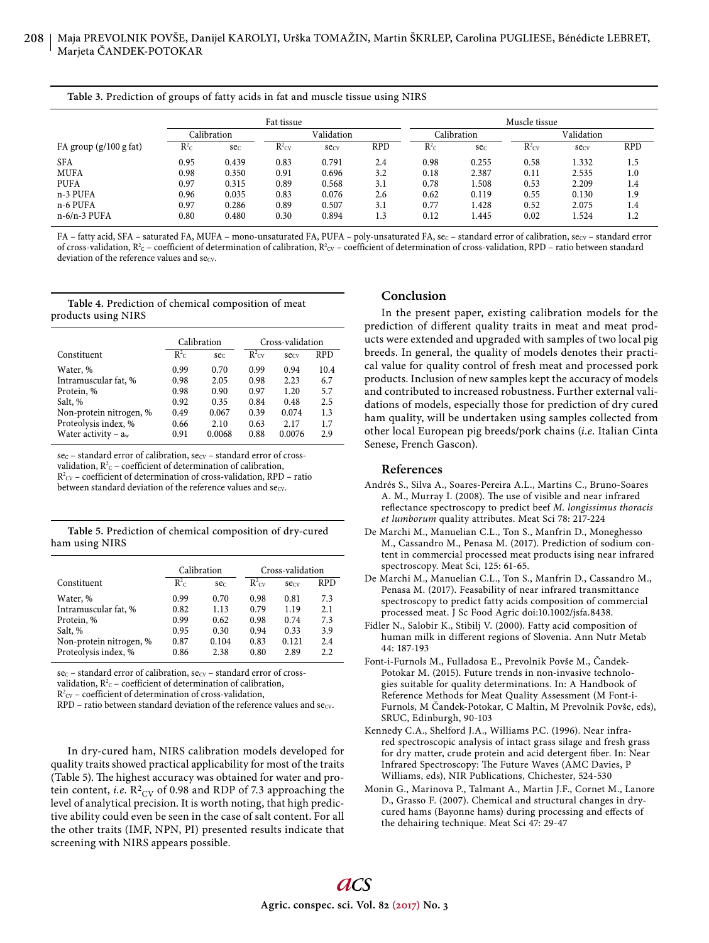#### **Table 3.** Prediction of groups of fatty acids in fat and muscle tissue using NIRS

|                          | Fat tissue |             |                     |       | Muscle tissue |                    |                 |                     |       |            |
|--------------------------|------------|-------------|---------------------|-------|---------------|--------------------|-----------------|---------------------|-------|------------|
|                          |            | Calibration | Validation          |       |               | Calibration        |                 | Validation          |       |            |
| FA group $(g/100 g fat)$ | $R^2c$     | sec.        | $R^2$ <sub>CV</sub> | secv  | <b>RPD</b>    | $R^2$ <sub>C</sub> | se <sub>c</sub> | $R^2$ <sub>CV</sub> | secv  | <b>RPD</b> |
| <b>SFA</b>               | 0.95       | 0.439       | 0.83                | 0.791 | 2.4           | 0.98               | 0.255           | 0.58                | 1.332 | 1.5        |
| <b>MUFA</b>              | 0.98       | 0.350       | 0.91                | 0.696 | 3.2           | 0.18               | 2.387           | 0.11                | 2.535 | 1.0        |
| <b>PUFA</b>              | 0.97       | 0.315       | 0.89                | 0.568 | 3.1           | 0.78               | 1.508           | 0.53                | 2.209 | 1.4        |
| n-3 PUFA                 | 0.96       | 0.035       | 0.83                | 0.076 | 2.6           | 0.62               | 0.119           | 0.55                | 0.130 | 1.9        |
| n-6 PUFA                 | 0.97       | 0.286       | 0.89                | 0.507 | 3.1           | 0.77               | 1.428           | 0.52                | 2.075 | 1.4        |
| $n-6/n-3$ PUFA           | 0.80       | 0.480       | 0.30                | 0.894 | 1.3           | 0.12               | l.445           | 0.02                | 1.524 | 1.2        |

FA – fatty acid, SFA – saturated FA, MUFA – mono-unsaturated FA, PUFA – poly-unsaturated FA, sec – standard error of calibration, secv – standard error of cross-validation,  $R^2c$  – coefficient of determination of calibration,  $R^2cv$  – coefficient of determination of cross-validation, RPD – ratio between standard deviation of the reference values and secv.

### **Table 4.** Prediction of chemical composition of meat products using NIRS

|                         |        | Calibration     | Cross-validation  |        |            |  |
|-------------------------|--------|-----------------|-------------------|--------|------------|--|
| Constituent             | $R^2c$ | se <sub>c</sub> | $R^2_{\text{CV}}$ | secv   | <b>RPD</b> |  |
| Water, %                | 0.99   | 0.70            | 0.99              | 0.94   | 10.4       |  |
| Intramuscular fat, %    | 0.98   | 2.05            | 0.98              | 2.23   | 6.7        |  |
| Protein, %              | 0.98   | 0.90            | 0.97              | 1.20   | 5.7        |  |
| Salt, %                 | 0.92   | 0.35            | 0.84              | 0.48   | 2.5        |  |
| Non-protein nitrogen, % | 0.49   | 0.067           | 0.39              | 0.074  | 1.3        |  |
| Proteolysis index, %    | 0.66   | 2.10            | 0.63              | 2.17   | 1.7        |  |
| Water activity – $a_w$  | 0.91   | 0.0068          | 0.88              | 0.0076 | 2.9        |  |

 $\sec$  – standard error of calibration,  $\sec$  – standard error of crossvalidation,  $R^2c$  – coefficient of determination of calibration,  $R^2$ <sub>cV</sub> – coefficient of determination of cross-validation, RPD – ratio between standard deviation of the reference values and  $secv$ .

| Table 5. Prediction of chemical composition of dry-cured |  |  |
|----------------------------------------------------------|--|--|
| ham using NIRS                                           |  |  |

|                         |        | Calibration     | Cross-validation  |       |            |  |
|-------------------------|--------|-----------------|-------------------|-------|------------|--|
| Constituent             | $R^2c$ | se <sub>c</sub> | $R^2_{\text{cv}}$ | secv  | <b>RPD</b> |  |
| Water, %                | 0.99   | 0.70            | 0.98              | 0.81  | 7.3        |  |
| Intramuscular fat, %    | 0.82   | 1.13            | 0.79              | 1.19  | 2.1        |  |
| Protein, %              | 0.99   | 0.62            | 0.98              | 0.74  | 7.3        |  |
| Salt, %                 | 0.95   | 0.30            | 0.94              | 0.33  | 3.9        |  |
| Non-protein nitrogen, % | 0.87   | 0.104           | 0.83              | 0.121 | 2.4        |  |
| Proteolysis index, %    | 0.86   | 2.38            | 0.80              | 2.89  | 2.2        |  |

sec – standard error of calibration, secv – standard error of cross-

validation,  $R^2$ <sub>C</sub> – coefficient of determination of calibration,

 $R<sup>2</sup><sub>CV</sub>$  – coefficient of determination of cross-validation,

 $RPD$  – ratio between standard deviation of the reference values and se $_{CV}$ .

In dry-cured ham, NIRS calibration models developed for quality traits showed practical applicability for most of the traits (Table 5). The highest accuracy was obtained for water and protein content, *i.e*.  $R^2$ <sub>CV</sub> of 0.98 and RDP of 7.3 approaching the level of analytical precision. It is worth noting, that high predictive ability could even be seen in the case of salt content. For all the other traits (IMF, NPN, PI) presented results indicate that screening with NIRS appears possible.

## **Conclusion**

In the present paper, existing calibration models for the prediction of different quality traits in meat and meat products were extended and upgraded with samples of two local pig breeds. In general, the quality of models denotes their practical value for quality control of fresh meat and processed pork products. Inclusion of new samples kept the accuracy of models and contributed to increased robustness. Further external validations of models, especially those for prediction of dry cured ham quality, will be undertaken using samples collected from other local European pig breeds/pork chains (*i.e*. Italian Cinta Senese, French Gascon).

## **References**

- Andrés S., Silva A., Soares-Pereira A.L., Martins C., Bruno-Soares A. M., Murray I. (2008). The use of visible and near infrared reflectance spectroscopy to predict beef *M. longissimus thoracis et lumborum* quality attributes. Meat Sci 78: 217-224
- De Marchi M., Manuelian C.L., Ton S., Manfrin D., Moneghesso M., Cassandro M., Penasa M. (2017). Prediction of sodium content in commercial processed meat products ising near infrared spectroscopy. Meat Sci, 125: 61-65.
- De Marchi M., Manuelian C.L., Ton S., Manfrin D., Cassandro M., Penasa M. (2017). Feasability of near infrared transmittance spectroscopy to predict fatty acids composition of commercial processed meat. J Sc Food Agric doi:10.1002/jsfa.8438.
- Fidler N., Salobir K., Stibilj V. (2000). Fatty acid composition of human milk in different regions of Slovenia. Ann Nutr Metab 44: 187-193
- Font-i-Furnols M., Fulladosa E., Prevolnik Povše M., Čandek-Potokar M. (2015). Future trends in non-invasive technologies suitable for quality determinations. In: A Handbook of Reference Methods for Meat Quality Assessment (M Font-i-Furnols, M Čandek-Potokar, C Maltin, M Prevolnik Povše, eds), SRUC, Edinburgh, 90-103
- Kennedy C.A., Shelford J.A., Williams P.C. (1996). Near infrared spectroscopic analysis of intact grass silage and fresh grass for dry matter, crude protein and acid detergent fiber. In: Near Infrared Spectroscopy: The Future Waves (AMC Davies, P Williams, eds), NIR Publications, Chichester, 524-530
- Monin G., Marinova P., Talmant A., Martin J.F., Cornet M., Lanore D., Grasso F. (2007). Chemical and structural changes in drycured hams (Bayonne hams) during processing and effects of the dehairing technique. Meat Sci 47: 29-47